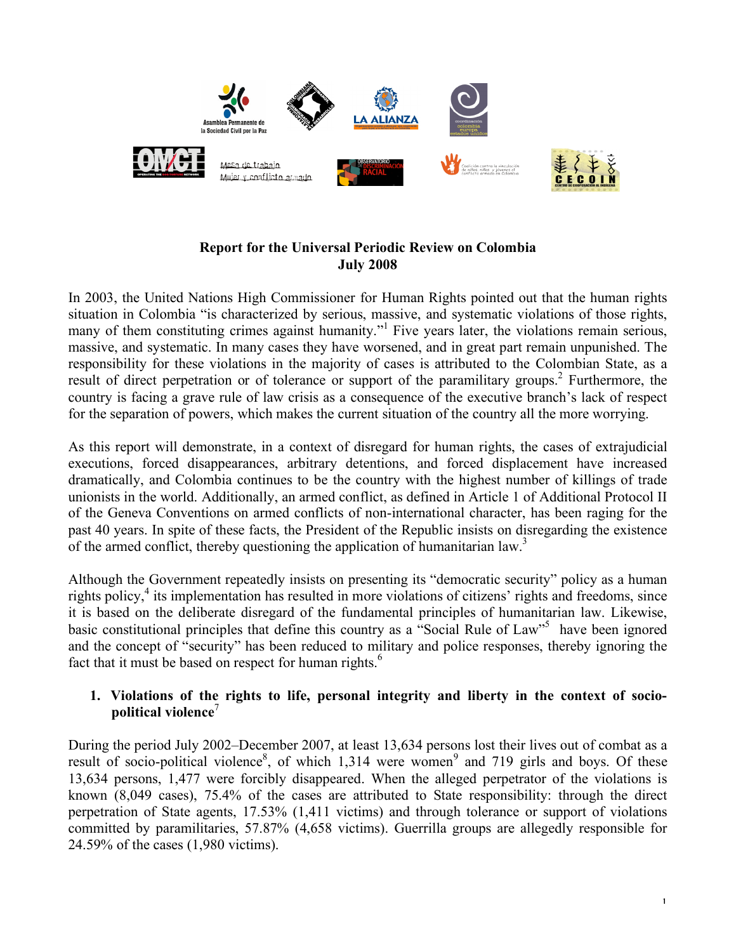

# **Report for the Universal Periodic Review on Colombia July 2008**

In 2003, the United Nations High Commissioner for Human Rights pointed out that the human rights situation in Colombia "is characterized by serious, massive, and systematic violations of those rights, many of them constituting crimes against humanity."<sup>1</sup> Five years later, the violations remain serious, massive, and systematic. In many cases they have worsened, and in great part remain unpunished. The responsibility for these violations in the majority of cases is attributed to the Colombian State, as a result of direct perpetration or of tolerance or support of the paramilitary groups.<sup>2</sup> Furthermore, the country is facing a grave rule of law crisis as a consequence of the executive branch's lack of respect for the separation of powers, which makes the current situation of the country all the more worrying.

As this report will demonstrate, in a context of disregard for human rights, the cases of extrajudicial executions, forced disappearances, arbitrary detentions, and forced displacement have increased dramatically, and Colombia continues to be the country with the highest number of killings of trade unionists in the world. Additionally, an armed conflict, as defined in Article 1 of Additional Protocol II of the Geneva Conventions on armed conflicts of non-international character, has been raging for the past 40 years. In spite of these facts, the President of the Republic insists on disregarding the existence of the armed conflict, thereby questioning the application of humanitarian law.<sup>3</sup>

Although the Government repeatedly insists on presenting its "democratic security" policy as a human rights policy, <sup>4</sup> its implementation has resulted in more violations of citizens' rights and freedoms, since it is based on the deliberate disregard of the fundamental principles of humanitarian law. Likewise, basic constitutional principles that define this country as a "Social Rule of Law"<sup>5</sup> have been ignored and the concept of "security" has been reduced to military and police responses, thereby ignoring the fact that it must be based on respect for human rights.<sup>6</sup>

## **1. Violations of the rights to life, personal integrity and liberty in the context of sociopolitical violence** 7

During the period July 2002–December 2007, at least 13,634 persons lost their lives out of combat as a result of socio-political violence<sup>8</sup>, of which 1,314 were women<sup>9</sup> and 719 girls and boys. Of these 13,634 persons, 1,477 were forcibly disappeared. When the alleged perpetrator of the violations is known (8,049 cases), 75.4% of the cases are attributed to State responsibility: through the direct perpetration of State agents, 17.53% (1,411 victims) and through tolerance or support of violations committed by paramilitaries, 57.87% (4,658 victims). Guerrilla groups are allegedly responsible for 24.59% of the cases (1,980 victims).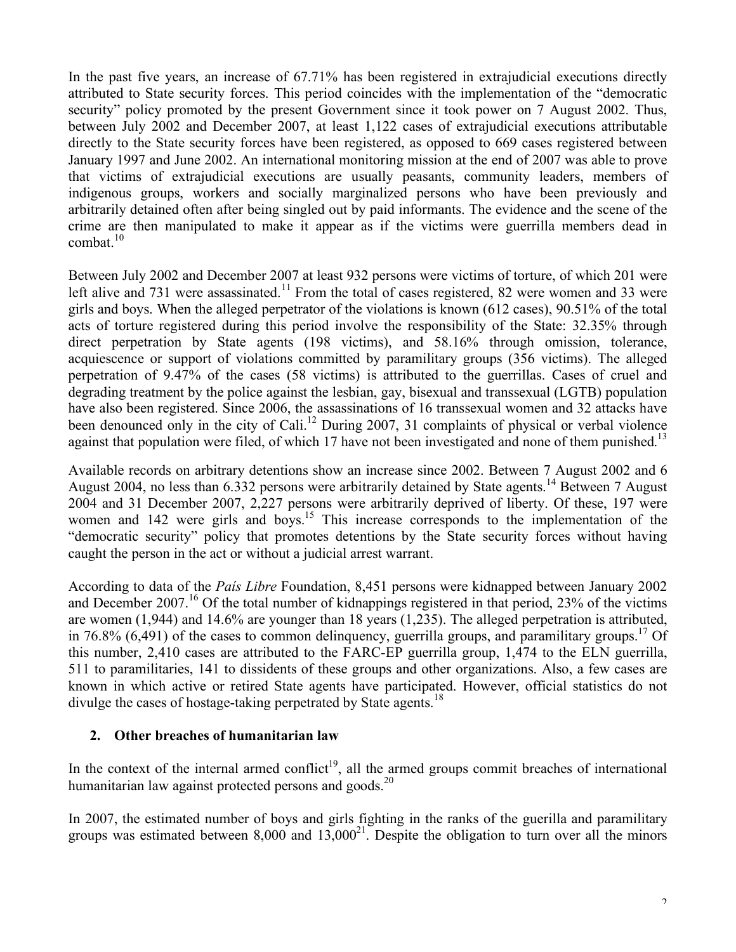In the past five years, an increase of 67.71% has been registered in extrajudicial executions directly attributed to State security forces. This period coincides with the implementation of the "democratic security" policy promoted by the present Government since it took power on 7 August 2002. Thus, between July 2002 and December 2007, at least 1,122 cases of extrajudicial executions attributable directly to the State security forces have been registered, as opposed to 669 cases registered between January 1997 and June 2002. An international monitoring mission at the end of 2007 was able to prove that victims of extrajudicial executions are usually peasants, community leaders, members of indigenous groups, workers and socially marginalized persons who have been previously and arbitrarily detained often after being singled out by paid informants. The evidence and the scene of the crime are then manipulated to make it appear as if the victims were guerrilla members dead in combat. 10

Between July 2002 and December 2007 at least 932 persons were victims of torture, of which 201 were left alive and 731 were assassinated.<sup>11</sup> From the total of cases registered, 82 were women and 33 were girls and boys. When the alleged perpetrator of the violations is known (612 cases), 90.51% of the total acts of torture registered during this period involve the responsibility of the State: 32.35% through direct perpetration by State agents (198 victims), and 58.16% through omission, tolerance, acquiescence or support of violations committed by paramilitary groups (356 victims). The alleged perpetration of 9.47% of the cases (58 victims) is attributed to the guerrillas. Cases of cruel and degrading treatment by the police against the lesbian, gay, bisexual and transsexual (LGTB) population have also been registered. Since 2006, the assassinations of 16 transsexual women and 32 attacks have been denounced only in the city of Cali.<sup>12</sup> During 2007, 31 complaints of physical or verbal violence against that population were filed, of which 17 have not been investigated and none of them punished.<sup>13</sup>

Available records on arbitrary detentions show an increase since 2002. Between 7 August 2002 and 6 August 2004, no less than 6.332 persons were arbitrarily detained by State agents.<sup>14</sup> Between 7 August 2004 and 31 December 2007, 2,227 persons were arbitrarily deprived of liberty. Of these, 197 were women and 142 were girls and boys.<sup>15</sup> This increase corresponds to the implementation of the "democratic security" policy that promotes detentions by the State security forces without having caught the person in the act or without a judicial arrest warrant.

According to data of the *País Libre* Foundation, 8,451 persons were kidnapped between January 2002 and December 2007.<sup>16</sup> Of the total number of kidnappings registered in that period, 23% of the victims are women (1,944) and 14.6% are younger than 18 years (1,235). The alleged perpetration is attributed, in 76.8% (6,491) of the cases to common delinquency, guerrilla groups, and paramilitary groups. <sup>17</sup> Of this number, 2,410 cases are attributed to the FARC-EP guerrilla group, 1,474 to the ELN guerrilla, 511 to paramilitaries, 141 to dissidents of these groups and other organizations. Also, a few cases are known in which active or retired State agents have participated. However, official statistics do not divulge the cases of hostage-taking perpetrated by State agents.<sup>18</sup>

### **2. Other breaches of humanitarian law**

In the context of the internal armed conflict<sup>19</sup>, all the armed groups commit breaches of international humanitarian law against protected persons and goods.<sup>20</sup>

In 2007, the estimated number of boys and girls fighting in the ranks of the guerilla and paramilitary groups was estimated between  $8,000$  and  $13,000^{21}$ . Despite the obligation to turn over all the minors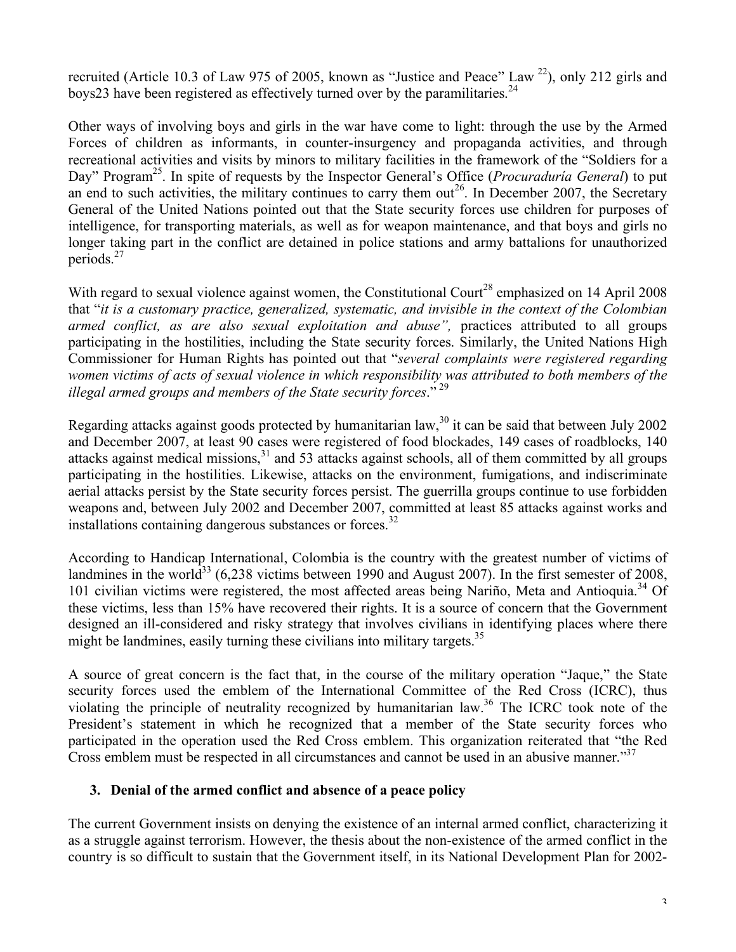recruited (Article 10.3 of Law 975 of 2005, known as "Justice and Peace" Law <sup>22</sup>), only 212 girls and boys23 have been registered as effectively turned over by the paramilitaries.<sup>24</sup>

Other ways of involving boys and girls in the war have come to light: through the use by the Armed Forces of children as informants, in counter-insurgency and propaganda activities, and through recreational activities and visits by minors to military facilities in the framework of the "Soldiers for a Day" Program<sup>25</sup>. In spite of requests by the Inspector General's Office (*Procuraduría General*) to put an end to such activities, the military continues to carry them  $out^{26}$ . In December 2007, the Secretary General of the United Nations pointed out that the State security forces use children for purposes of intelligence, for transporting materials, as well as for weapon maintenance, and that boys and girls no longer taking part in the conflict are detained in police stations and army battalions for unauthorized periods. 27

With regard to sexual violence against women, the Constitutional Court<sup>28</sup> emphasized on 14 April 2008 that "*it is a customary practice, generalized, systematic, and invisible in the context of the Colombian armed conflict, as are also sexual exploitation and abuse",* practices attributed to all groups participating in the hostilities, including the State security forces. Similarly, the United Nations High Commissioner for Human Rights has pointed out that "*several complaints were registered regarding women victims of acts of sexual violence in which responsibility was attributed to both members of the illegal armed groups and members of the State security forces*." <sup>29</sup>

Regarding attacks against goods protected by humanitarian law,  $30$  it can be said that between July 2002 and December 2007, at least 90 cases were registered of food blockades, 149 cases of roadblocks, 140 attacks against medical missions,<sup>31</sup> and 53 attacks against schools, all of them committed by all groups participating in the hostilities. Likewise, attacks on the environment, fumigations, and indiscriminate aerial attacks persist by the State security forces persist. The guerrilla groups continue to use forbidden weapons and, between July 2002 and December 2007, committed at least 85 attacks against works and installations containing dangerous substances or forces.<sup>32</sup>

According to Handicap International, Colombia is the country with the greatest number of victims of landmines in the world<sup>33</sup> (6,238 victims between 1990 and August 2007). In the first semester of 2008, 101 civilian victims were registered, the most affected areas being Nariño, Meta and Antioquia. <sup>34</sup> Of these victims, less than 15% have recovered their rights. It is a source of concern that the Government designed an ill-considered and risky strategy that involves civilians in identifying places where there might be landmines, easily turning these civilians into military targets.<sup>35</sup>

A source of great concern is the fact that, in the course of the military operation "Jaque," the State security forces used the emblem of the International Committee of the Red Cross (ICRC), thus violating the principle of neutrality recognized by humanitarian law. <sup>36</sup> The ICRC took note of the President's statement in which he recognized that a member of the State security forces who participated in the operation used the Red Cross emblem. This organization reiterated that "the Red Cross emblem must be respected in all circumstances and cannot be used in an abusive manner."<sup>37</sup>

## **3. Denial of the armed conflict and absence of a peace policy**

The current Government insists on denying the existence of an internal armed conflict, characterizing it as a struggle against terrorism. However, the thesis about the non-existence of the armed conflict in the country is so difficult to sustain that the Government itself, in its National Development Plan for 2002-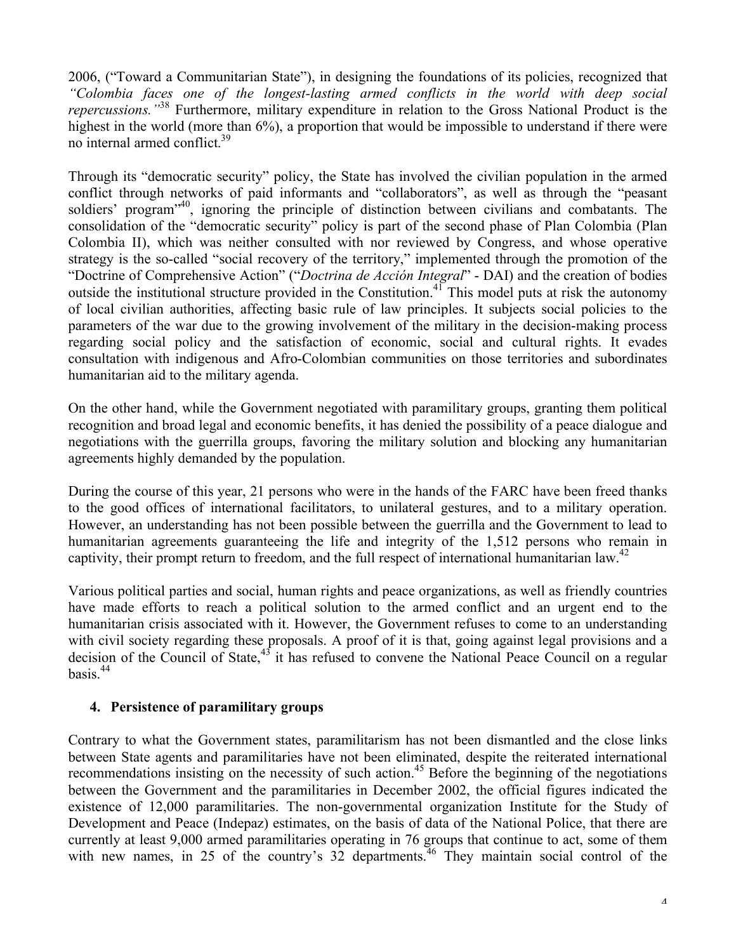2006, ("Toward a Communitarian State"), in designing the foundations of its policies, recognized that *"Colombia faces one of the longest-lasting armed conflicts in the world with deep social repercussions."*<sup>38</sup> Furthermore, military expenditure in relation to the Gross National Product is the highest in the world (more than 6%), a proportion that would be impossible to understand if there were no internal armed conflict. 39

Through its "democratic security" policy, the State has involved the civilian population in the armed conflict through networks of paid informants and "collaborators", as well as through the "peasant soldiers' program<sup>,40</sup>, ignoring the principle of distinction between civilians and combatants. The consolidation of the "democratic security" policy is part of the second phase of Plan Colombia (Plan Colombia II), which was neither consulted with nor reviewed by Congress, and whose operative strategy is the so-called "social recovery of the territory," implemented through the promotion of the "Doctrine of Comprehensive Action" ("*Doctrina de Acción Integral*" - DAI) and the creation of bodies outside the institutional structure provided in the Constitution.<sup>41</sup> This model puts at risk the autonomy of local civilian authorities, affecting basic rule of law principles. It subjects social policies to the parameters of the war due to the growing involvement of the military in the decision-making process regarding social policy and the satisfaction of economic, social and cultural rights. It evades consultation with indigenous and Afro-Colombian communities on those territories and subordinates humanitarian aid to the military agenda.

On the other hand, while the Government negotiated with paramilitary groups, granting them political recognition and broad legal and economic benefits, it has denied the possibility of a peace dialogue and negotiations with the guerrilla groups, favoring the military solution and blocking any humanitarian agreements highly demanded by the population.

During the course of this year, 21 persons who were in the hands of the FARC have been freed thanks to the good offices of international facilitators, to unilateral gestures, and to a military operation. However, an understanding has not been possible between the guerrilla and the Government to lead to humanitarian agreements guaranteeing the life and integrity of the 1,512 persons who remain in captivity, their prompt return to freedom, and the full respect of international humanitarian law.<sup>42</sup>

Various political parties and social, human rights and peace organizations, as well as friendly countries have made efforts to reach a political solution to the armed conflict and an urgent end to the humanitarian crisis associated with it. However, the Government refuses to come to an understanding with civil society regarding these proposals. A proof of it is that, going against legal provisions and a decision of the Council of State,<sup>43</sup> it has refused to convene the National Peace Council on a regular basis. 44

## **4. Persistence of paramilitary groups**

Contrary to what the Government states, paramilitarism has not been dismantled and the close links between State agents and paramilitaries have not been eliminated, despite the reiterated international recommendations insisting on the necessity of such action. <sup>45</sup> Before the beginning of the negotiations between the Government and the paramilitaries in December 2002, the official figures indicated the existence of 12,000 paramilitaries. The non-governmental organization Institute for the Study of Development and Peace (Indepaz) estimates, on the basis of data of the National Police, that there are currently at least 9,000 armed paramilitaries operating in 76 groups that continue to act, some of them with new names, in 25 of the country's 32 departments.<sup>46</sup> They maintain social control of the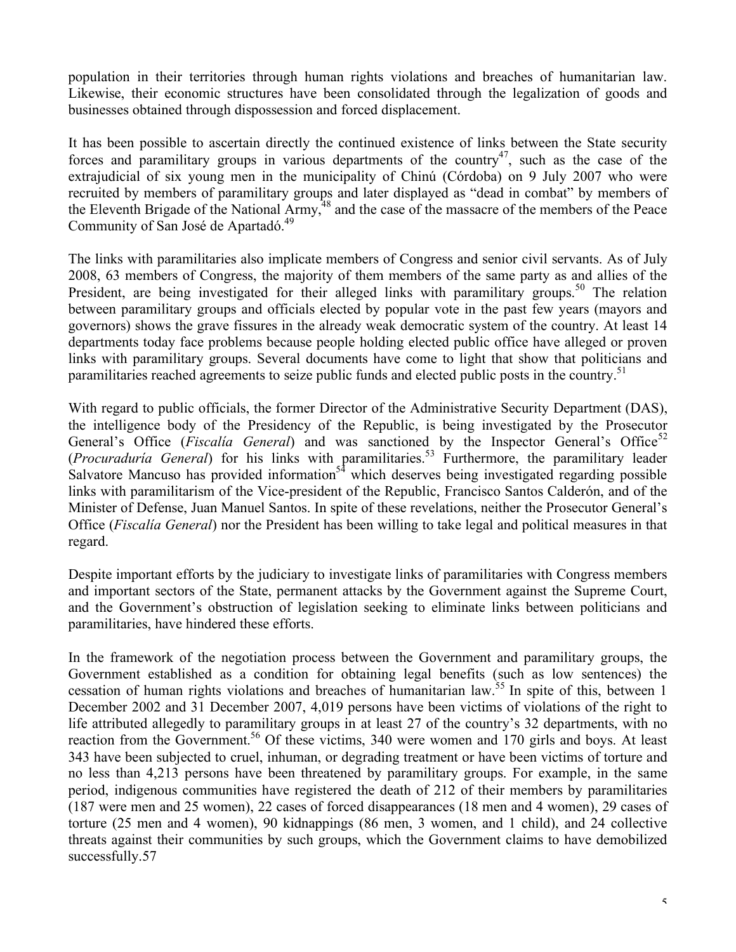population in their territories through human rights violations and breaches of humanitarian law. Likewise, their economic structures have been consolidated through the legalization of goods and businesses obtained through dispossession and forced displacement.

It has been possible to ascertain directly the continued existence of links between the State security forces and paramilitary groups in various departments of the country<sup>47</sup>, such as the case of the extrajudicial of six young men in the municipality of Chinú (Córdoba) on 9 July 2007 who were recruited by members of paramilitary groups and later displayed as "dead in combat" by members of the Eleventh Brigade of the National Army,<sup>48</sup> and the case of the massacre of the members of the Peace Community of San José de Apartadó.<sup>49</sup>

The links with paramilitaries also implicate members of Congress and senior civil servants. As of July 2008, 63 members of Congress, the majority of them members of the same party as and allies of the President, are being investigated for their alleged links with paramilitary groups.<sup>50</sup> The relation between paramilitary groups and officials elected by popular vote in the past few years (mayors and governors) shows the grave fissures in the already weak democratic system of the country. At least 14 departments today face problems because people holding elected public office have alleged or proven links with paramilitary groups. Several documents have come to light that show that politicians and paramilitaries reached agreements to seize public funds and elected public posts in the country.<sup>51</sup>

With regard to public officials, the former Director of the Administrative Security Department (DAS), the intelligence body of the Presidency of the Republic, is being investigated by the Prosecutor General's Office (*Fiscalia General*) and was sanctioned by the Inspector General's Office<sup>52</sup> (*Procuraduría General*) for his links with paramilitaries. <sup>53</sup> Furthermore, the paramilitary leader Salvatore Mancuso has provided information<sup>54</sup> which deserves being investigated regarding possible links with paramilitarism of the Vice-president of the Republic, Francisco Santos Calderón, and of the Minister of Defense, Juan Manuel Santos. In spite of these revelations, neither the Prosecutor General's Office (*Fiscalía General*) nor the President has been willing to take legal and political measures in that regard.

Despite important efforts by the judiciary to investigate links of paramilitaries with Congress members and important sectors of the State, permanent attacks by the Government against the Supreme Court, and the Government's obstruction of legislation seeking to eliminate links between politicians and paramilitaries, have hindered these efforts.

In the framework of the negotiation process between the Government and paramilitary groups, the Government established as a condition for obtaining legal benefits (such as low sentences) the cessation of human rights violations and breaches of humanitarian law.<sup>55</sup> In spite of this, between 1 December 2002 and 31 December 2007, 4,019 persons have been victims of violations of the right to life attributed allegedly to paramilitary groups in at least 27 of the country's 32 departments, with no reaction from the Government.<sup>56</sup> Of these victims, 340 were women and 170 girls and boys. At least 343 have been subjected to cruel, inhuman, or degrading treatment or have been victims of torture and no less than 4,213 persons have been threatened by paramilitary groups. For example, in the same period, indigenous communities have registered the death of 212 of their members by paramilitaries (187 were men and 25 women), 22 cases of forced disappearances (18 men and 4 women), 29 cases of torture (25 men and 4 women), 90 kidnappings (86 men, 3 women, and 1 child), and 24 collective threats against their communities by such groups, which the Government claims to have demobilized successfully.57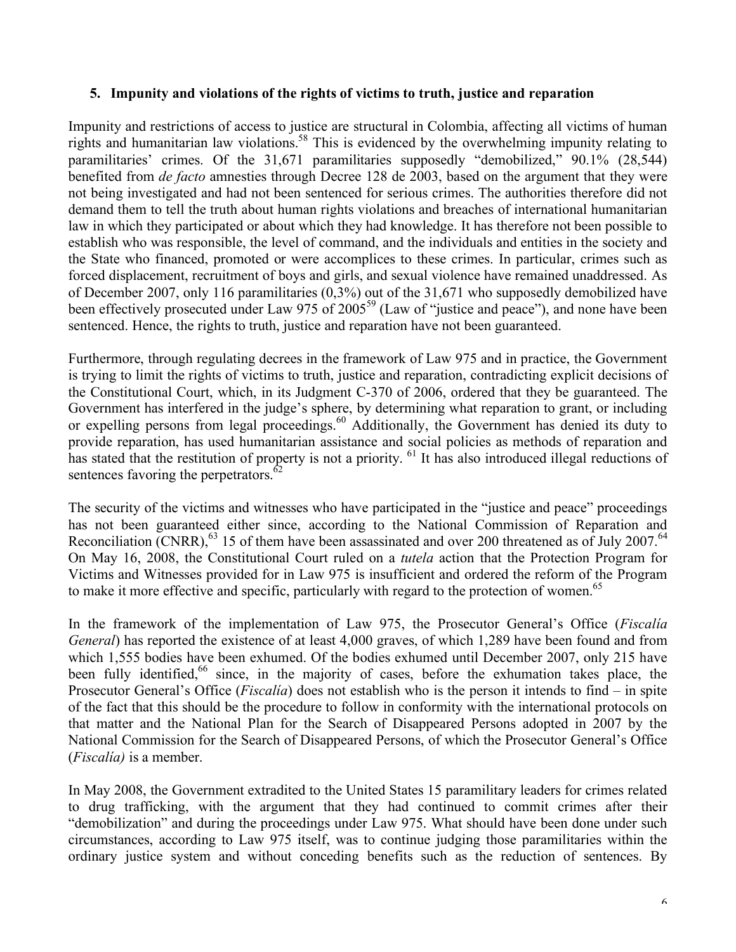### **5. Impunity and violations of the rights of victims to truth, justice and reparation**

Impunity and restrictions of access to justice are structural in Colombia, affecting all victims of human rights and humanitarian law violations. <sup>58</sup> This is evidenced by the overwhelming impunity relating to paramilitaries' crimes. Of the 31,671 paramilitaries supposedly "demobilized," 90.1% (28,544) benefited from *de facto* amnesties through Decree 128 de 2003, based on the argument that they were not being investigated and had not been sentenced for serious crimes. The authorities therefore did not demand them to tell the truth about human rights violations and breaches of international humanitarian law in which they participated or about which they had knowledge. It has therefore not been possible to establish who was responsible, the level of command, and the individuals and entities in the society and the State who financed, promoted or were accomplices to these crimes. In particular, crimes such as forced displacement, recruitment of boys and girls, and sexual violence have remained unaddressed. As of December 2007, only 116 paramilitaries (0,3%) out of the 31,671 who supposedly demobilized have been effectively prosecuted under Law 975 of 2005<sup>59</sup> (Law of "justice and peace"), and none have been sentenced. Hence, the rights to truth, justice and reparation have not been guaranteed.

Furthermore, through regulating decrees in the framework of Law 975 and in practice, the Government is trying to limit the rights of victims to truth, justice and reparation, contradicting explicit decisions of the Constitutional Court, which, in its Judgment C-370 of 2006, ordered that they be guaranteed. The Government has interfered in the judge's sphere, by determining what reparation to grant, or including or expelling persons from legal proceedings.<sup>60</sup> Additionally, the Government has denied its duty to provide reparation, has used humanitarian assistance and social policies as methods of reparation and has stated that the restitution of property is not a priority. <sup>61</sup> It has also introduced illegal reductions of sentences favoring the perpetrators. $62$ 

The security of the victims and witnesses who have participated in the "justice and peace" proceedings has not been guaranteed either since, according to the National Commission of Reparation and Reconciliation (CNRR),  $63$  15 of them have been assassinated and over 200 threatened as of July 2007.  $64$ On May 16, 2008, the Constitutional Court ruled on a *tutela* action that the Protection Program for Victims and Witnesses provided for in Law 975 is insufficient and ordered the reform of the Program to make it more effective and specific, particularly with regard to the protection of women.<sup>65</sup>

In the framework of the implementation of Law 975, the Prosecutor General's Office (*Fiscalía General*) has reported the existence of at least 4,000 graves, of which 1,289 have been found and from which 1,555 bodies have been exhumed. Of the bodies exhumed until December 2007, only 215 have been fully identified,<sup>66</sup> since, in the majority of cases, before the exhumation takes place, the Prosecutor General's Office (*Fiscalía*) does not establish who is the person it intends to find – in spite of the fact that this should be the procedure to follow in conformity with the international protocols on that matter and the National Plan for the Search of Disappeared Persons adopted in 2007 by the National Commission for the Search of Disappeared Persons, of which the Prosecutor General's Office (*Fiscalía)* is a member.

In May 2008, the Government extradited to the United States 15 paramilitary leaders for crimes related to drug trafficking, with the argument that they had continued to commit crimes after their "demobilization" and during the proceedings under Law 975. What should have been done under such circumstances, according to Law 975 itself, was to continue judging those paramilitaries within the ordinary justice system and without conceding benefits such as the reduction of sentences. By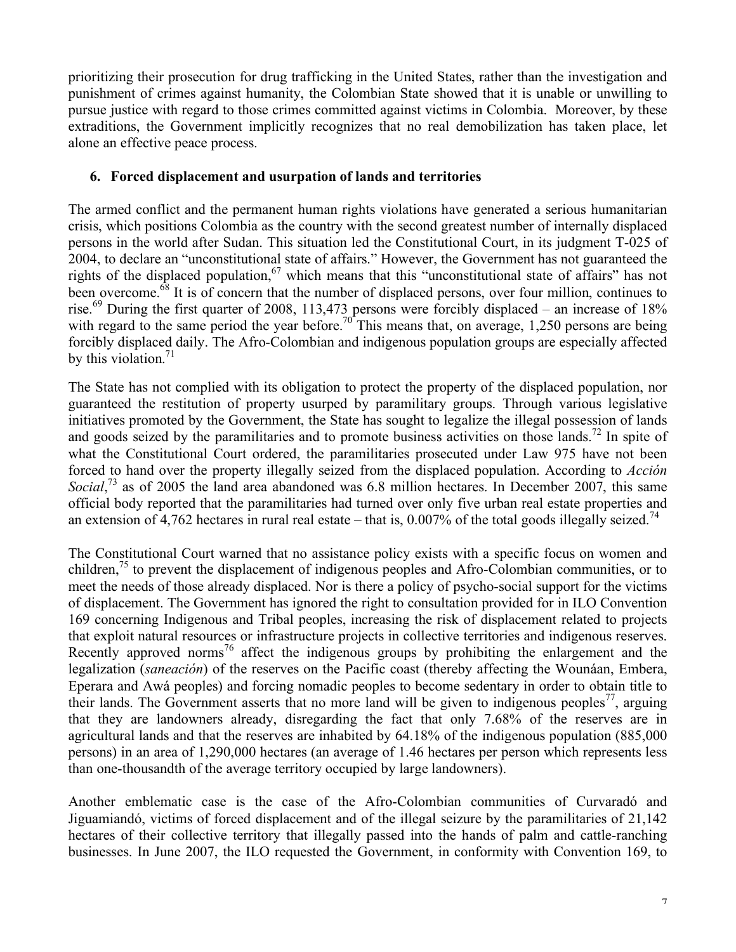prioritizing their prosecution for drug trafficking in the United States, rather than the investigation and punishment of crimes against humanity, the Colombian State showed that it is unable or unwilling to pursue justice with regard to those crimes committed against victims in Colombia. Moreover, by these extraditions, the Government implicitly recognizes that no real demobilization has taken place, let alone an effective peace process.

## **6. Forced displacement and usurpation of lands and territories**

The armed conflict and the permanent human rights violations have generated a serious humanitarian crisis, which positions Colombia as the country with the second greatest number of internally displaced persons in the world after Sudan. This situation led the Constitutional Court, in its judgment T-025 of 2004, to declare an "unconstitutional state of affairs." However, the Government has not guaranteed the rights of the displaced population,  $\frac{67}{3}$  which means that this "unconstitutional state of affairs" has not been overcome.<sup>68</sup> It is of concern that the number of displaced persons, over four million, continues to rise.<sup>69</sup> During the first quarter of 2008, 113,473 persons were forcibly displaced – an increase of 18% with regard to the same period the year before.<sup>70</sup> This means that, on average, 1,250 persons are being forcibly displaced daily. The Afro-Colombian and indigenous population groups are especially affected by this violation. 71

The State has not complied with its obligation to protect the property of the displaced population, nor guaranteed the restitution of property usurped by paramilitary groups. Through various legislative initiatives promoted by the Government, the State has sought to legalize the illegal possession of lands and goods seized by the paramilitaries and to promote business activities on those lands.<sup>72</sup> In spite of what the Constitutional Court ordered, the paramilitaries prosecuted under Law 975 have not been forced to hand over the property illegally seized from the displaced population. According to *Acción* Social,<sup>73</sup> as of 2005 the land area abandoned was 6.8 million hectares. In December 2007, this same official body reported that the paramilitaries had turned over only five urban real estate properties and an extension of 4,762 hectares in rural real estate – that is,  $0.007\%$  of the total goods illegally seized.<sup>74</sup>

The Constitutional Court warned that no assistance policy exists with a specific focus on women and children,<sup>75</sup> to prevent the displacement of indigenous peoples and Afro-Colombian communities, or to meet the needs of those already displaced. Nor is there a policy of psycho-social support for the victims of displacement. The Government has ignored the right to consultation provided for in ILO Convention 169 concerning Indigenous and Tribal peoples, increasing the risk of displacement related to projects that exploit natural resources or infrastructure projects in collective territories and indigenous reserves. Recently approved norms<sup>76</sup> affect the indigenous groups by prohibiting the enlargement and the legalization (*saneación*) of the reserves on the Pacific coast (thereby affecting the Wounáan, Embera, Eperara and Awá peoples) and forcing nomadic peoples to become sedentary in order to obtain title to their lands. The Government asserts that no more land will be given to indigenous peoples<sup>77</sup>, arguing that they are landowners already, disregarding the fact that only 7.68% of the reserves are in agricultural lands and that the reserves are inhabited by 64.18% of the indigenous population (885,000 persons) in an area of 1,290,000 hectares (an average of 1.46 hectares per person which represents less than one-thousandth of the average territory occupied by large landowners).

Another emblematic case is the case of the Afro-Colombian communities of Curvaradó and Jiguamiandó, victims of forced displacement and of the illegal seizure by the paramilitaries of 21,142 hectares of their collective territory that illegally passed into the hands of palm and cattle-ranching businesses. In June 2007, the ILO requested the Government, in conformity with Convention 169, to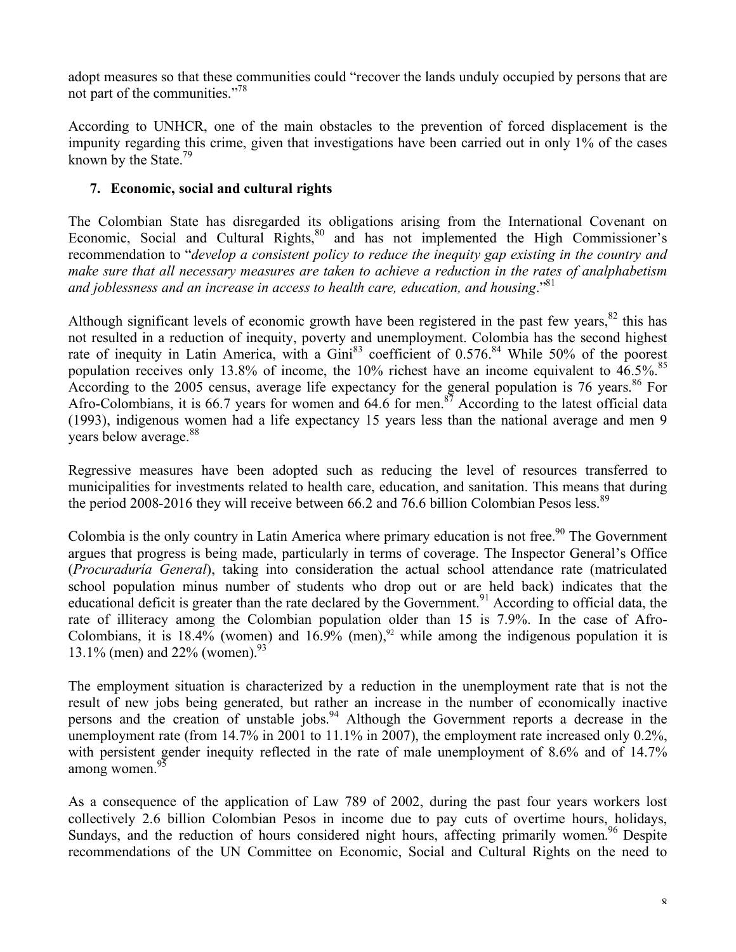adopt measures so that these communities could "recover the lands unduly occupied by persons that are not part of the communities."<sup>78</sup>

According to UNHCR, one of the main obstacles to the prevention of forced displacement is the impunity regarding this crime, given that investigations have been carried out in only 1% of the cases known by the State.<sup>79</sup>

## **7. Economic, social and cultural rights**

The Colombian State has disregarded its obligations arising from the International Covenant on Economic, Social and Cultural Rights,<sup>80</sup> and has not implemented the High Commissioner's recommendation to "*develop a consistent policy to reduce the inequity gap existing in the country and make sure that all necessary measures are taken to achieve a reduction in the rates of analphabetism and joblessness and an increase in access to health care, education, and housing*." 81

Although significant levels of economic growth have been registered in the past few years,  $82$  this has not resulted in a reduction of inequity, poverty and unemployment. Colombia has the second highest rate of inequity in Latin America, with a  $Gini^{83}$  coefficient of 0.576.<sup>84</sup> While 50% of the poorest population receives only 13.8% of income, the 10% richest have an income equivalent to  $46.5\%$ .<sup>85</sup> According to the 2005 census, average life expectancy for the general population is 76 years.<sup>86</sup> For Afro-Colombians, it is 66.7 years for women and 64.6 for men.<sup>87</sup> According to the latest official data (1993), indigenous women had a life expectancy 15 years less than the national average and men 9 years below average. 88

Regressive measures have been adopted such as reducing the level of resources transferred to municipalities for investments related to health care, education, and sanitation. This means that during the period 2008-2016 they will receive between 66.2 and 76.6 billion Colombian Pesos less.<sup>89</sup>

Colombia is the only country in Latin America where primary education is not free.<sup>90</sup> The Government argues that progress is being made, particularly in terms of coverage. The Inspector General's Office (*Procuraduría General*), taking into consideration the actual school attendance rate (matriculated school population minus number of students who drop out or are held back) indicates that the educational deficit is greater than the rate declared by the Government.<sup>91</sup> According to official data, the rate of illiteracy among the Colombian population older than 15 is 7.9%. In the case of Afro-Colombians, it is  $18.4\%$  (women) and  $16.9\%$  (men),<sup>92</sup> while among the indigenous population it is 13.1% (men) and 22% (women). 93

The employment situation is characterized by a reduction in the unemployment rate that is not the result of new jobs being generated, but rather an increase in the number of economically inactive persons and the creation of unstable jobs.<sup>94</sup> Although the Government reports a decrease in the unemployment rate (from 14.7% in 2001 to 11.1% in 2007), the employment rate increased only 0.2%, with persistent gender inequity reflected in the rate of male unemployment of 8.6% and of 14.7% among women.<sup>93</sup>

As a consequence of the application of Law 789 of 2002, during the past four years workers lost collectively 2.6 billion Colombian Pesos in income due to pay cuts of overtime hours, holidays, Sundays, and the reduction of hours considered night hours, affecting primarily women.<sup>96</sup> Despite recommendations of the UN Committee on Economic, Social and Cultural Rights on the need to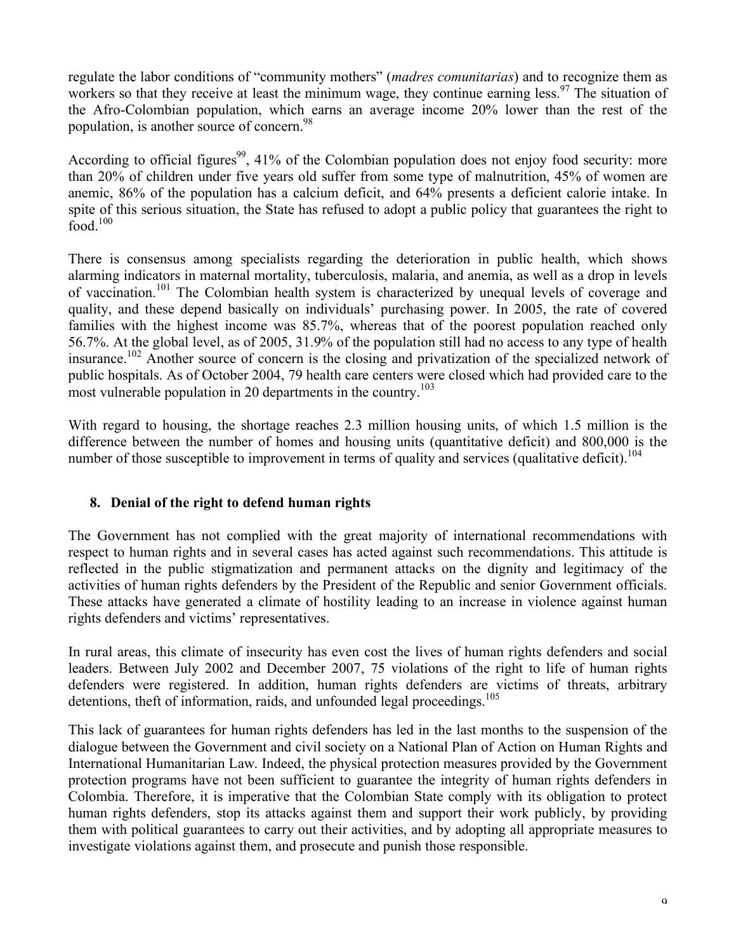regulate the labor conditions of "community mothers" (*madres comunitarias*) and to recognize them as workers so that they receive at least the minimum wage, they continue earning less.<sup>97</sup> The situation of the Afro-Colombian population, which earns an average income 20% lower than the rest of the population, is another source of concern.<sup>98</sup>

According to official figures<sup>99</sup>, 41% of the Colombian population does not enjoy food security: more than 20% of children under five years old suffer from some type of malnutrition, 45% of women are anemic, 86% of the population has a calcium deficit, and 64% presents a deficient calorie intake. In spite of this serious situation, the State has refused to adopt a public policy that guarantees the right to food. $100$ 

There is consensus among specialists regarding the deterioration in public health, which shows alarming indicators in maternal mortality, tuberculosis, malaria, and anemia, as well as a drop in levels of vaccination.<sup>101</sup> The Colombian health system is characterized by unequal levels of coverage and quality, and these depend basically on individuals' purchasing power. In 2005, the rate of covered families with the highest income was 85.7%, whereas that of the poorest population reached only 56.7%. At the global level, as of 2005, 31.9% of the population still had no access to any type of health insurance. <sup>102</sup> Another source of concern is the closing and privatization of the specialized network of public hospitals. As of October 2004, 79 health care centers were closed which had provided care to the most vulnerable population in 20 departments in the country.<sup>103</sup>

With regard to housing, the shortage reaches 2.3 million housing units, of which 1.5 million is the difference between the number of homes and housing units (quantitative deficit) and 800,000 is the number of those susceptible to improvement in terms of quality and services (qualitative deficit).<sup>104</sup>

# **8. Denial of the right to defend human rights**

The Government has not complied with the great majority of international recommendations with respect to human rights and in several cases has acted against such recommendations. This attitude is reflected in the public stigmatization and permanent attacks on the dignity and legitimacy of the activities of human rights defenders by the President of the Republic and senior Government officials. These attacks have generated a climate of hostility leading to an increase in violence against human rights defenders and victims' representatives.

In rural areas, this climate of insecurity has even cost the lives of human rights defenders and social leaders. Between July 2002 and December 2007, 75 violations of the right to life of human rights defenders were registered. In addition, human rights defenders are victims of threats, arbitrary detentions, theft of information, raids, and unfounded legal proceedings.<sup>105</sup>

This lack of guarantees for human rights defenders has led in the last months to the suspension of the dialogue between the Government and civil society on a National Plan of Action on Human Rights and International Humanitarian Law. Indeed, the physical protection measures provided by the Government protection programs have not been sufficient to guarantee the integrity of human rights defenders in Colombia. Therefore, it is imperative that the Colombian State comply with its obligation to protect human rights defenders, stop its attacks against them and support their work publicly, by providing them with political guarantees to carry out their activities, and by adopting all appropriate measures to investigate violations against them, and prosecute and punish those responsible.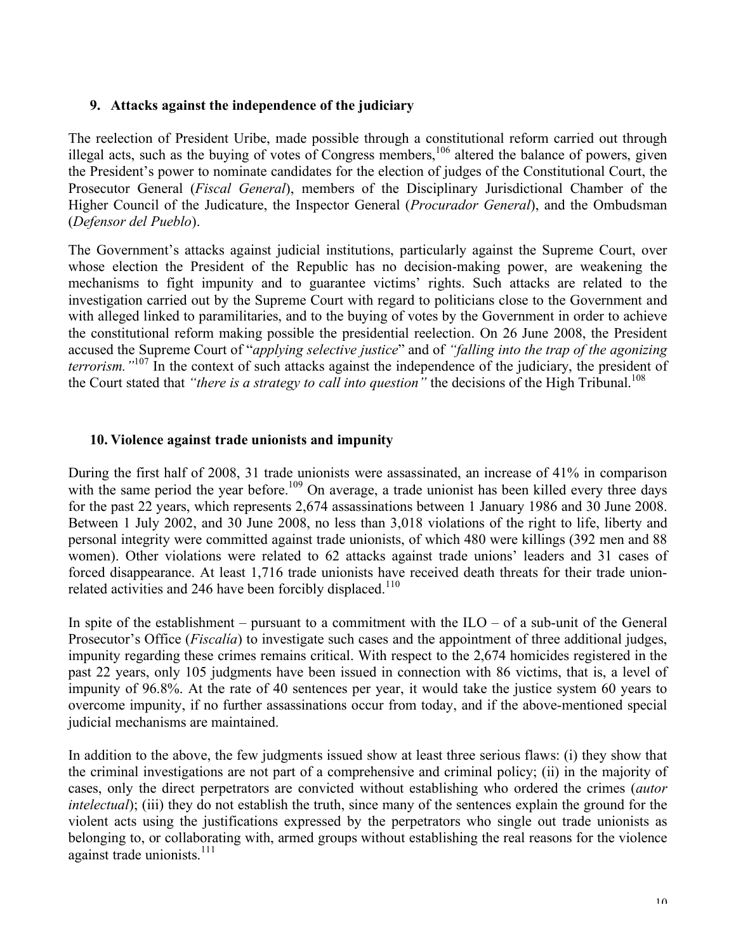## **9. Attacks against the independence of the judiciary**

The reelection of President Uribe, made possible through a constitutional reform carried out through illegal acts, such as the buying of votes of Congress members,<sup>106</sup> altered the balance of powers, given the President's power to nominate candidates for the election of judges of the Constitutional Court, the Prosecutor General (*Fiscal General*), members of the Disciplinary Jurisdictional Chamber of the Higher Council of the Judicature, the Inspector General (*Procurador General*), and the Ombudsman (*Defensor del Pueblo*).

The Government's attacks against judicial institutions, particularly against the Supreme Court, over whose election the President of the Republic has no decision-making power, are weakening the mechanisms to fight impunity and to guarantee victims' rights. Such attacks are related to the investigation carried out by the Supreme Court with regard to politicians close to the Government and with alleged linked to paramilitaries, and to the buying of votes by the Government in order to achieve the constitutional reform making possible the presidential reelection. On 26 June 2008, the President accused the Supreme Court of "*applying selective justice*" and of *"falling into the trap of the agonizing terrorism."*<sup>107</sup> In the context of such attacks against the independence of the judiciary, the president of the Court stated that *"there is a strategy to call into question"* the decisions of the High Tribunal. 108

## **10. Violence against trade unionists and impunity**

During the first half of 2008, 31 trade unionists were assassinated, an increase of 41% in comparison with the same period the year before.<sup>109</sup> On average, a trade unionist has been killed every three days for the past 22 years, which represents 2,674 assassinations between 1 January 1986 and 30 June 2008. Between 1 July 2002, and 30 June 2008, no less than 3,018 violations of the right to life, liberty and personal integrity were committed against trade unionists, of which 480 were killings (392 men and 88 women). Other violations were related to 62 attacks against trade unions' leaders and 31 cases of forced disappearance. At least 1,716 trade unionists have received death threats for their trade unionrelated activities and 246 have been forcibly displaced.<sup>110</sup>

In spite of the establishment – pursuant to a commitment with the  $ILO - of a$  sub-unit of the General Prosecutor's Office (*Fiscalía*) to investigate such cases and the appointment of three additional judges, impunity regarding these crimes remains critical. With respect to the 2,674 homicides registered in the past 22 years, only 105 judgments have been issued in connection with 86 victims, that is, a level of impunity of 96.8%. At the rate of 40 sentences per year, it would take the justice system 60 years to overcome impunity, if no further assassinations occur from today, and if the above-mentioned special judicial mechanisms are maintained.

In addition to the above, the few judgments issued show at least three serious flaws: (i) they show that the criminal investigations are not part of a comprehensive and criminal policy; (ii) in the majority of cases, only the direct perpetrators are convicted without establishing who ordered the crimes (*autor intelectual*); (iii) they do not establish the truth, since many of the sentences explain the ground for the violent acts using the justifications expressed by the perpetrators who single out trade unionists as belonging to, or collaborating with, armed groups without establishing the real reasons for the violence against trade unionists.<sup>111</sup>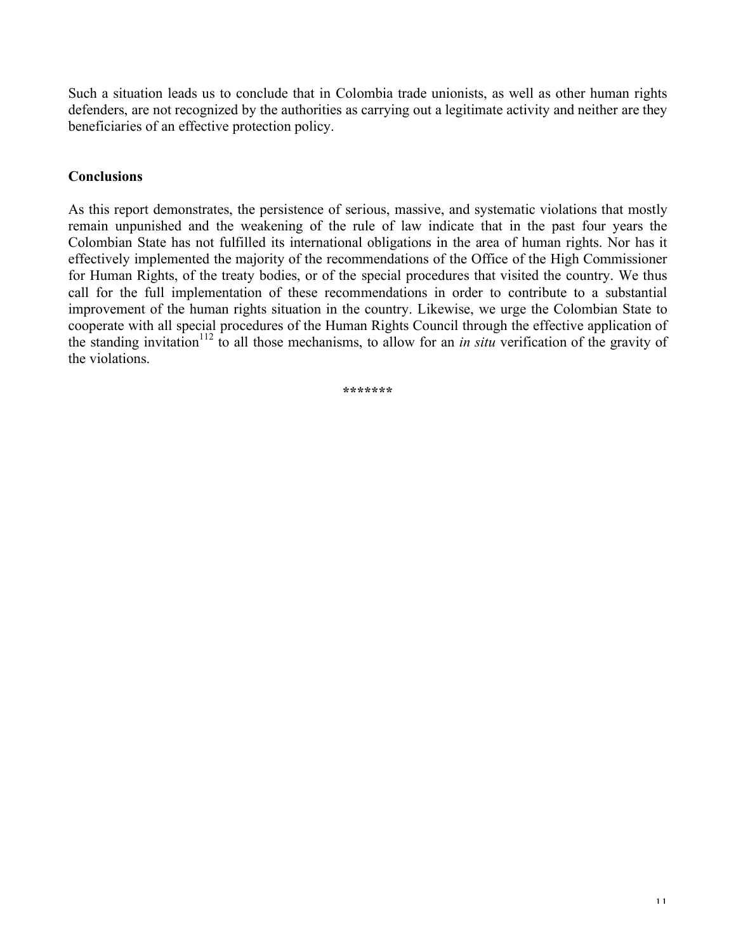Such a situation leads us to conclude that in Colombia trade unionists, as well as other human rights defenders, are not recognized by the authorities as carrying out a legitimate activity and neither are they beneficiaries of an effective protection policy.

# **Conclusions**

As this report demonstrates, the persistence of serious, massive, and systematic violations that mostly remain unpunished and the weakening of the rule of law indicate that in the past four years the Colombian State has not fulfilled its international obligations in the area of human rights. Nor has it effectively implemented the majority of the recommendations of the Office of the High Commissioner for Human Rights, of the treaty bodies, or of the special procedures that visited the country. We thus call for the full implementation of these recommendations in order to contribute to a substantial improvement of the human rights situation in the country. Likewise, we urge the Colombian State to cooperate with all special procedures of the Human Rights Council through the effective application of the standing invitation <sup>112</sup> to all those mechanisms, to allow for an *in situ* verification of the gravity of the violations.

**\*\*\*\*\*\*\***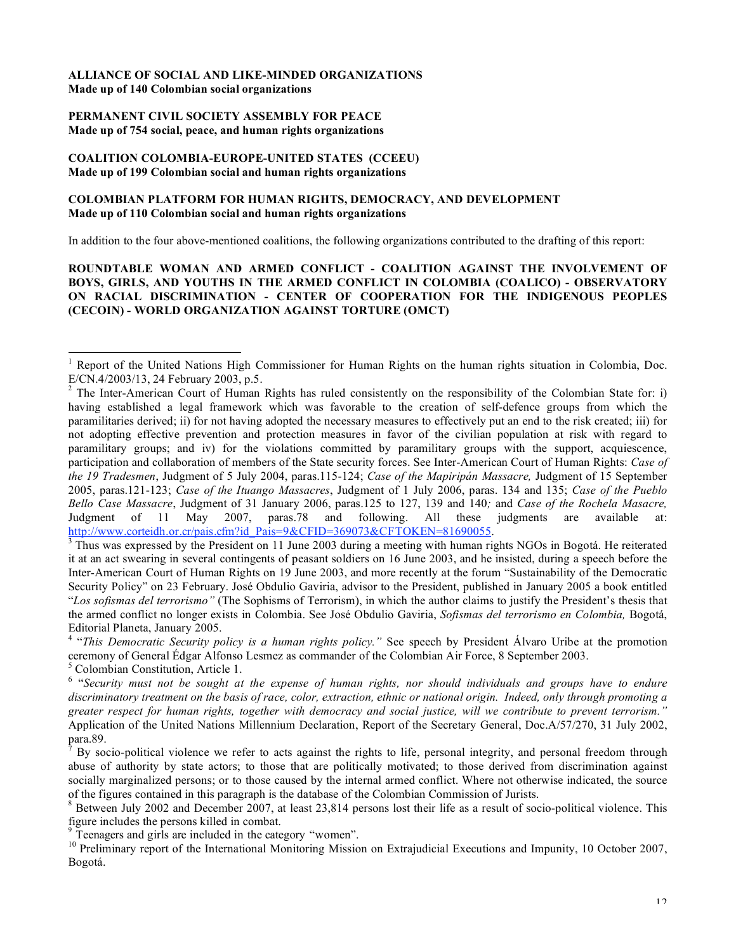### **ALLIANCE OF SOCIAL AND LIKE-MINDED ORGANIZATIONS Made up of 140 Colombian social organizations**

#### **PERMANENT CIVIL SOCIETY ASSEMBLY FOR PEACE Made up of 754 social, peace, and human rights organizations**

### **COALITION COLOMBIA-EUROPE-UNITED STATES (CCEEU) Made up of 199 Colombian social and human rights organizations**

### **COLOMBIAN PLATFORM FOR HUMAN RIGHTS, DEMOCRACY, AND DEVELOPMENT Made up of 110 Colombian social and human rights organizations**

In addition to the four above-mentioned coalitions, the following organizations contributed to the drafting of this report:

### **ROUNDTABLE WOMAN AND ARMED CONFLICT - COALITION AGAINST THE INVOLVEMENT OF BOYS, GIRLS, AND YOUTHS IN THE ARMED CONFLICT IN COLOMBIA (COALICO) - OBSERVATORY ON RACIAL DISCRIMINATION - CENTER OF COOPERATION FOR THE INDIGENOUS PEOPLES (CECOIN) - WORLD ORGANIZATION AGAINST TORTURE (OMCT)**

it at an act swearing in several contingents of peasant soldiers on 16 June 2003, and he insisted, during a speech before the Inter-American Court of Human Rights on 19 June 2003, and more recently at the forum "Sustainability of the Democratic Security Policy" on 23 February. José Obdulio Gaviria, advisor to the President, published in January 2005 a book entitled "*Los sofismas del terrorismo"* (The Sophisms of Terrorism), in which the author claims to justify the President's thesis that the armed conflict no longer exists in Colombia. See José Obdulio Gaviria, *Sofismas del terrorismo en Colombia,* Bogotá,

Editorial Planeta, January 2005. <sup>4</sup> "*This Democratic Security policy is <sup>a</sup> human rights policy."* See speech by President Álvaro Uribe at the promotion

 <sup>1</sup> Report of the United Nations High Commissioner for Human Rights on the human rights situation in Colombia, Doc.

E/CN.4/2003/13, 24 February 2003, p.5.<br><sup>2</sup> The Inter-American Court of Human Rights has ruled consistently on the responsibility of the Colombian State for: i) having established a legal framework which was favorable to the creation of self-defence groups from which the paramilitaries derived; ii) for not having adopted the necessary measures to effectively put an end to the risk created; iii) for not adopting effective prevention and protection measures in favor of the civilian population at risk with regard to paramilitary groups; and iv) for the violations committed by paramilitary groups with the support, acquiescence, participation and collaboration of members of the State security forces. See Inter-American Court of Human Rights: *Case of the 19 Tradesmen*, Judgment of 5 July 2004, paras.115-124; *Case of the Mapiripán Massacre,* Judgment of 15 September 2005, paras.121-123; *Case of the Ituango Massacres*, Judgment of 1 July 2006, paras. 134 and 135; *Case of the Pueblo Bello Case Massacre*, Judgment of 31 January 2006, paras.125 to 127, 139 and 140*;* and *Case of the Rochela Masacre,* Judgment of 11 May 2007, paras.78 and following. All these judgments are available at:  $\frac{http://www.corteidh. or.cr/pais.cfm?id}$  Pais=9&CFID=369073&CFTOKEN=81690055.<br><sup>3</sup> Thus was expressed by the President on 11 June 2003 during a meeting with human rights NGOs in Bogotá. He reiterated

<sup>&</sup>lt;sup>5</sup> Colombian Constitution, Article 1.<br><sup>6</sup> "Security must not be sought at the expense of human rights, nor should individuals and groups have to endure discriminatory treatment on the basis of race, color, extraction, ethnic or national origin. Indeed, only through promoting a greater respect for human rights, together with democracy and social justice, will we contribute to prevent terrorism.' Application of the United Nations Millennium Declaration, Report of the Secretary General, Doc.A/57/270, 31 July 2002, para.89.<br><sup>7</sup> By socio-political violence we refer to acts against the rights to life, personal integrity, and personal freedom through

abuse of authority by state actors; to those that are politically motivated; to those derived from discrimination against socially marginalized persons; or to those caused by the internal armed conflict. Where not otherwise indicated, the source of the figures contained in this paragraph is the database of the Colombian Commission of Jurists.<br><sup>8</sup> Between July 2002 and December 2007, at least 23,814 persons lost their life as a result of socio-political violence.

figure includes the persons killed in combat.<br>
<sup>9</sup> Teenagers and girls are included in the category "women".<br>
<sup>10</sup> Preliminary report of the International Monitoring Mission on Extrajudicial Executions and Impunity, 10 Oct Bogotá.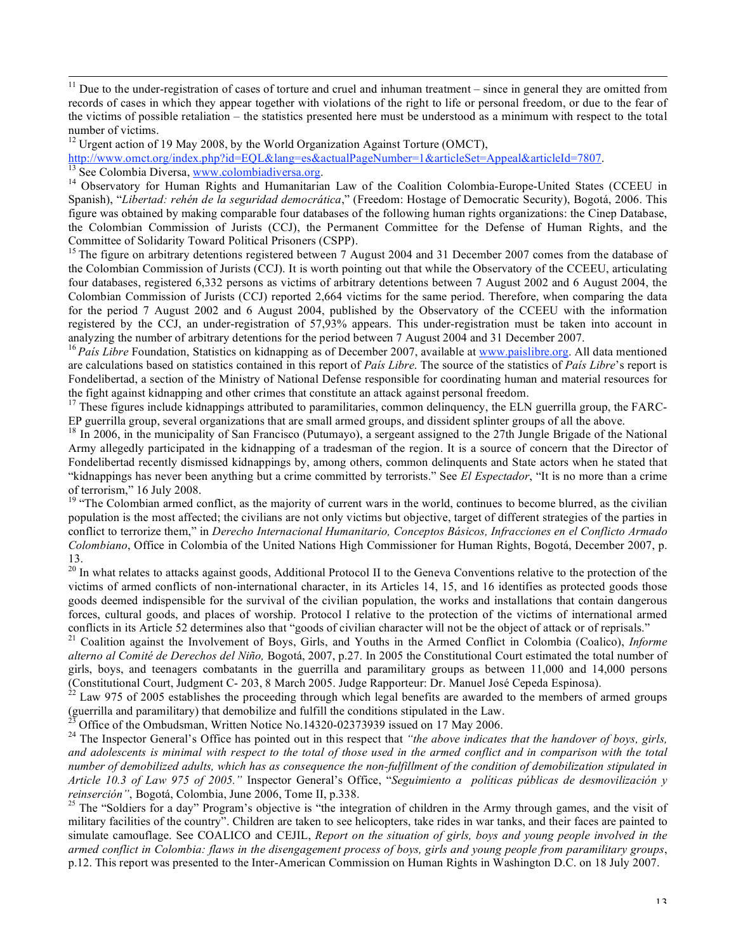$11$  Due to the under-registration of cases of torture and cruel and inhuman treatment – since in general they are omitted from records of cases in which they appear together with violations of the right to life or personal freedom, or due to the fear of the victims of possible retaliation – the statistics presented here must be understood as a minimum with respect to the total number of victims.<br><sup>12</sup> Urgent action of 19 May 2008, by the World Organization Against Torture (OMCT),<br>http://www.omct.org/index.php?id=EQL&lang=es&actualPageNumber=1&articleSet=Appeal&articleId=7807.

<sup>13</sup> See Colombia Diversa, www.colombiadiversa.org.<br><sup>14</sup> Observatory for Human Rights and Humanitarian Law of the Coalition Colombia-Europe-United States (CCEEU in

Spanish), "*Libertad: rehén de la seguridad democrática*," (Freedom: Hostage of Democratic Security), Bogotá, 2006. This figure was obtained by making comparable four databases of the following human rights organizations: the Cinep Database, the Colombian Commission of Jurists (CCJ), the Permanent Committee for the Defense of Human Rights, and the Committee of Solidarity Toward Political Prisoners (CSPP).<br><sup>15</sup> The figure on arbitrary detentions registered between 7 August 2004 and 31 December 2007 comes from the database of

the Colombian Commission of Jurists (CCJ). It is worth pointing out that while the Observatory of the CCEEU, articulating four databases, registered 6,332 persons as victims of arbitrary detentions between 7 August 2002 and 6 August 2004, the Colombian Commission of Jurists (CCJ) reported 2,664 victims for the same period. Therefore, when comparing the data for the period 7 August 2002 and 6 August 2004, published by the Observatory of the CCEEU with the information registered by the CCJ, an under-registration of 57,93% appears. This under-registration must be taken into account in analyzing the number of arbitrary detentions for the period between 7 August 2004 and 31 December 2007.

 $^{16}$  País Libre Foundation, Statistics on kidnapping as of December 2007, available at www.paislibre.org. All data mentioned are calculations based on statistics contained in this report of *País Libre*. The source of the statistics of *País Libre*'s report is Fondelibertad, a section of the Ministry of National Defense responsible for coordinating human and material resources for

the fight against kidnapping and other crimes that constitute an attack against personal freedom.<br><sup>17</sup> These figures include kidnappings attributed to paramilitaries, common delinquency, the ELN guerrilla group, the FARC-<br>

<sup>18</sup> In 2006, in the municipality of San Francisco (Putumayo), a sergeant assigned to the 27th Jungle Brigade of the National Army allegedly participated in the kidnapping of a tradesman of the region. It is a source of concern that the Director of Fondelibertad recently dismissed kidnappings by, among others, common delinquents and State actors when he stated that "kidnappings has never been anything but a crime committed by terrorists." See *El Espectador*, "It is no more than a crime of terrorism," 16 July 2008.

 $19$  "The Colombian armed conflict, as the majority of current wars in the world, continues to become blurred, as the civilian population is the most affected; the civilians are not only victims but objective, target of different strategies of the parties in conflict to terrorize them," in *Derecho Internacional Humanitario, Conceptos Básicos, Infracciones en el Conflicto Armado Colombiano*, Office in Colombia of the United Nations High Commissioner for Human Rights, Bogotá, December 2007, p. 13. <sup>20</sup> In what relates to attacks against goods, Additional Protocol II to the Geneva Conventions relative to the protection of the

victims of armed conflicts of non-international character, in its Articles 14, 15, and 16 identifies as protected goods those goods deemed indispensible for the survival of the civilian population, the works and installations that contain dangerous forces, cultural goods, and places of worship. Protocol I relative to the protection of the victims of international armed conflicts in its Article 52 determines also that "goods of civilian character will not be the objec

<sup>21</sup> Coalition against the Involvement of Boys, Girls, and Youths in the Armed Conflict in Colombia (Coalico), *Informe alterno al Comité de Derechos del Niño,* Bogotá, 2007, p.27. In 2005 the Constitutional Court estimated the total number of girls, boys, and teenagers combatants in the guerrilla and paramilitary groups as between 11,000 and 14,000 persons

(Constitutional Court, Judgment C- 203, 8 March 2005. Judge Rapporteur: Dr. Manuel José Cepeda Espinosa). <sup>22</sup> Law 975 of 2005 establishes the proceeding through which legal benefits are awarded to the members of armed gr

<sup>23</sup> Office of the Ombudsman, Written Notice No.14320-02373939 issued on 17 May 2006.<br><sup>24</sup> The Inspector General's Office has pointed out in this respect that *"the above indicates that the handover of boys, girls,* and adolescents is minimal with respect to the total of those used in the armed conflict and in comparison with the total number of demobilized adults, which has as consequence the non-fulfillment of the condition of demobilization stipulated in *Article 10.3 of Law 975 of 2005."* Inspector General's Office, "*Seguimiento a políticas públicas de desmovilización y*

<sup>25</sup> The "Soldiers for a day" Program's objective is "the integration of children in the Army through games, and the visit of military facilities of the country". Children are taken to see helicopters, take rides in war tanks, and their faces are painted to simulate camouflage. See COALICO and CEJIL, *Report on the situation of girls, boys and young people involved in the* armed conflict in Colombia: flaws in the disengagement process of boys, girls and young people from paramilitary groups, p.12. This report was presented to the Inter-American Commission on Human Rights in Washington D.C. on 18 July 2007.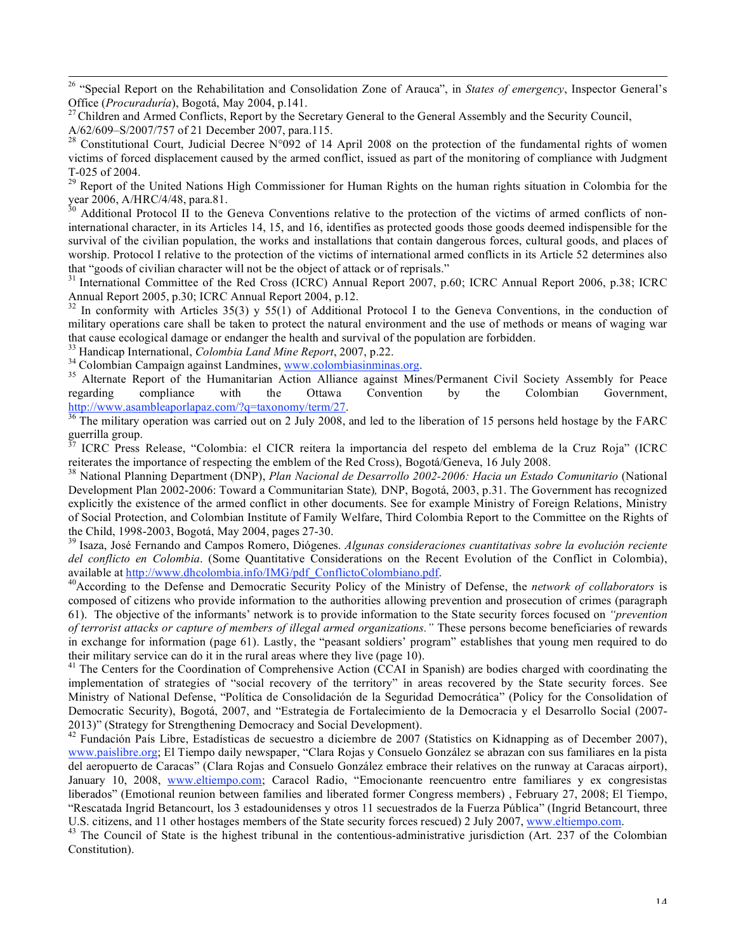26 "Special Report on the Rehabilitation and Consolidation Zone of Arauca", in *States of emergency*, Inspector General's Office (*Procuraduria*), Bogotá, May 2004, p.141.<br><sup>27</sup> Children and Armed Conflicts, Report by the Secretary General to the General Assembly and the Security Council,

T-025 of 2004.<br><sup>29</sup> Report of the United Nations High Commissioner for Human Rights on the human rights situation in Colombia for the year 2006, A/HRC/4/48, para.81.<br><sup>30</sup> Additional Protocol II to the Geneva Conventions relative to the protection of the victims of armed conflicts of non-

international character, in its Articles 14, 15, and 16, identifies as protected goods those goods deemed indispensible for the survival of the civilian population, the works and installations that contain dangerous forces, cultural goods, and places of worship. Protocol I relative to the protection of the victims of international armed conflicts in its Article 52 determines also that "goods of civilian character will not be the object of attack or of reprisals."<br><sup>31</sup> International Committee of the Red Cross (ICRC) Annual Report 2007, p.60; ICRC Annual Report 2006, p.38; ICRC

Annual Report 2005, p.30; ICRC Annual Report 2004, p.12.<br><sup>32</sup> In conformity with Articles 35(3) y 55(1) of Additional Protocol I to the Geneva Conventions, in the conduction of

military operations care shall be taken to protect the natural environment and the use of methods or means of waging war that cause ecological damage or endanger the health and survival of the population are forbidden.

<sup>33</sup> Handicap International, *Colombia Land Mine Report*, 2007, p.22.<br><sup>34</sup> Colombian Campaign against Landmines, www.colombiasinminas.org.<br><sup>35</sup> Alternate Report of the Humanitarian Action Alliance against Mines/Permanent C regarding compliance with the Ottawa Convention by the Colombian Government, http://www.asambleaporlapaz.com/?q=taxonomy/term/27.<br><sup>36</sup> The military operation was carried out on 2 July 2008, and led to the liberation of 15 persons held hostage by the FARC

guerrilla group.<br><sup>37</sup> ICRC Press Release, "Colombia: el CICR reitera la importancia del respeto del emblema de la Cruz Roja" (ICRC<br>reiterates the importance of respecting the emblem of the Red Cross), Bogotá/Geneva, 16 Jul

<sup>38</sup> National Planning Department (DNP), Plan Nacional de Desarrollo 2002-2006: Hacia un Estado Comunitario (National Development Plan 2002-2006: Toward a Communitarian State)*,* DNP, Bogotá, 2003, p.31. The Government has recognized explicitly the existence of the armed conflict in other documents. See for example Ministry of Foreign Relations, Ministry of Social Protection, and Colombian Institute of Family Welfare, Third Colombia Report to the Committee on the Rights of the Child, 1998-2003, Bogotá, May 2004, pages 27-30. <sup>39</sup> Isaza, José Fernando and Campos Romero, Diógenes. *Algunas consideraciones cuantitativas sobre la evolución reciente*

*del conflicto en Colombia*. (Some Quantitative Considerations on the Recent Evolution of the Conflict in Colombia), available at http://www.dhcolombia.info/IMG/pdf\_ConflictoColombiano.pdf.

According to the Defense and Democratic Security Policy of the Ministry of Defense, the *network of collaborators* is composed of citizens who provide information to the authorities allowing prevention and prosecution of crimes (paragraph 61). The objective of the informants' network is to provide information to the State security forces focused on *"prevention of terrorist attacks or capture of members of illegal armed organizations."* These persons become beneficiaries of rewards in exchange for information (page 61). Lastly, the "peasant soldiers' program" establishes that young men required to do their military service can do it in the rural areas where they live (page 10).

<sup>41</sup> The Centers for the Coordination of Comprehensive Action (CCAI in Spanish) are bodies charged with coordinating the implementation of strategies of "social recovery of the territory" in areas recovered by the State security forces. See Ministry of National Defense, "Política de Consolidación de la Seguridad Democrática" (Policy for the Consolidation of Democratic Security), Bogotá, 2007, and "Estrategia de Fortalecimiento de la Democracia y el Desarrollo Social (2007- 2013)" (Strategy for Strengthening Democracy and Social Development).<br><sup>42</sup> Fundación País Libre, Estadísticas de secuestro a diciembre de 2007 (Statistics on Kidnapping as of December 2007),

www.paislibre.org; El Tiempo daily newspaper, "Clara Rojas y Consuelo González se abrazan con sus familiares en la pista del aeropuerto de Caracas" (Clara Rojas and Consuelo González embrace their relatives on the runway at Caracas airport), January 10, 2008, www.eltiempo.com; Caracol Radio, "Emocionante reencuentro entre familiares y ex congresistas liberados" (Emotional reunion between families and liberated former Congress members) , February 27, 2008; El Tiempo, "Rescatada Ingrid Betancourt, los 3 estadounidenses y otros 11 secuestrados de la Fuerza Pública" (Ingrid Betancourt, three U.S. citizens, and 11 other hostages members of the State security forces rescued) 2 July 2007, ww

<sup>43</sup> The Council of State is the highest tribunal in the contentious-administrative jurisdiction (Art. 237 of the Colombian Constitution).

A/62/609–S/2007/757 of 21 December 2007, para.115.<br><sup>28</sup> Constitutional Court, Judicial Decree N°092 of 14 April 2008 on the protection of the fundamental rights of women victims of forced displacement caused by the armed conflict, issued as part of the monitoring of compliance with Judgment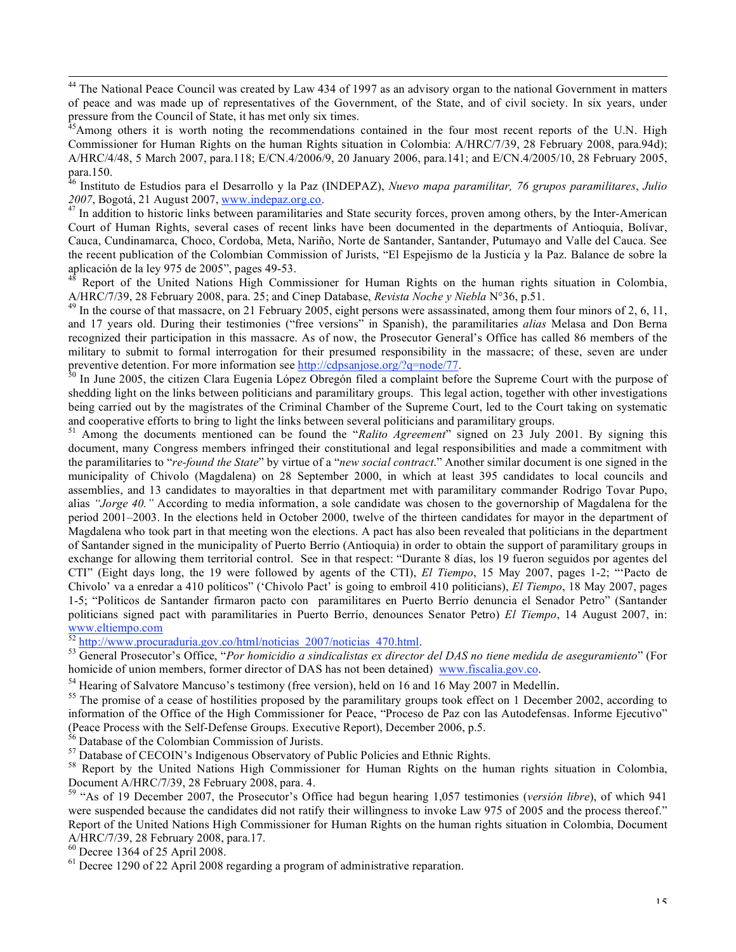<sup>44</sup> The National Peace Council was created by Law 434 of 1997 as an advisory organ to the national Government in matters of peace and was made up of representatives of the Government, of the State, and of civil society. In six years, under pressure from the Council of State, it has met only six times. <sup>45</sup>

<sup>46</sup> Instituto de Estudios para el Desarrollo y la Paz (INDEPAZ), *Nuevo mapa paramilitar, 76 grupos paramilitares, Julio*<br>2007, Bogotá, 21 August 2007, www.indepaz.org.co.

<sup>47</sup> In addition to historic links between paramilitaries and State security forces, proven among others, by the Inter-American Court of Human Rights, several cases of recent links have been documented in the departments of Antioquia, Bolívar, Cauca, Cundinamarca, Choco, Cordoba, Meta, Nariño, Norte de Santander, Santander, Putumayo and Valle del Cauca. See the recent publication of the Colombian Commission of Jurists, "El Espejismo de la Justicia y la Paz. Balance de sobre la aplicación de la ley 975 de 2005", pages 49-53.<br><sup>48</sup> Report of the United Nations High Commissioner for Human Rights on the human rights situation in Colombia,

A/HRC/7/39, 28 February 2008, para. 25; and Cinep Database, Revista Noche y Niebla N°36, p.51.<br><sup>49</sup> In the course of that massacre, on 21 February 2005, eight persons were assassinated, among them four minors of 2, 6, 11,

and 17 years old. During their testimonies ("free versions" in Spanish), the paramilitaries *alias* Melasa and Don Berna recognized their participation in this massacre. As of now, the Prosecutor General's Office has called 86 members of the military to submit to formal interrogation for their presumed responsibility in the massacre; of these, seven are under preventive detention. For more information see http://cdpsanjose.org/?q=node/77.

<sup>0</sup> In June 2005, the citizen Clara Eugenia López Obregón filed a complaint before the Supreme Court with the purpose of shedding light on the links between politicians and paramilitary groups. This legal action, together with other investigations being carried out by the magistrates of the Criminal Chamber of the Supreme Court, led to the Court taking on systematic and cooperative efforts to bring to light the links between several politicians and paramilitary groups.<br><sup>51</sup> Among the documents mentioned can be found the "Ralito Agreement" signed on 23 July 2001. By signing this

document, many Congress members infringed their constitutional and legal responsibilities and made a commitment with the paramilitaries to "*re-found the State*" by virtue of a "*new social contract*." Another similar document is one signed in the municipality of Chivolo (Magdalena) on 28 September 2000, in which at least 395 candidates to local councils and assemblies, and 13 candidates to mayoralties in that department met with paramilitary commander Rodrigo Tovar Pupo, alias *"Jorge 40."* According to media information, a sole candidate was chosen to the governorship of Magdalena for the period 2001–2003. In the elections held in October 2000, twelve of the thirteen candidates for mayor in the department of Magdalena who took part in that meeting won the elections. A pact has also been revealed that politicians in the department of Santander signed in the municipality of Puerto Berrío (Antioquia) in order to obtain the support of paramilitary groups in exchange for allowing them territorial control. See in that respect: "Durante 8 días, los 19 fueron seguidos por agentes del CTI" (Eight days long, the 19 were followed by agents of the CTI), *El Tiempo*, 15 May 2007, pages 1-2; "'Pacto de Chivolo' va a enredar a 410 políticos" ('Chivolo Pact' is going to embroil 410 politicians), *El Tiempo*, 18 May 2007, pages 1-5; "Políticos de Santander firmaron pacto con paramilitares en Puerto Berrío denuncia el Senador Petro" (Santander politicians signed pact with paramilitaries in Puerto Berrío, denounces Senator Petro) *El Tiempo*, 14 August 2007, in: www.eltiempo.com<br>
<sup>52</sup> http://www.procuraduria.gov.co/html/noticias\_2007/noticias\_470.html.<br>
<sup>53</sup> General Prosecutor's Office, "*Por homicidio a sindicalistas ex director del DAS no tiene medida de aseguramiento*" (For

homicide of union members, former director of DAS has not been detained) www.fiscalia.gov.co.

<sup>54</sup> Hearing of Salvatore Mancuso's testimony (free version), held on 16 and 16 May 2007 in Medellín.<br><sup>55</sup> The promise of a cease of hostilities proposed by the paramilitary groups took effect on 1 December 2002, accordin information of the Office of the High Commissioner for Peace, "Proceso de Paz con las Autodefensas. Informe Ejecutivo" (Peace Process with the Self-Defense Groups. Executive Report), December 2006, p.5.<br><sup>56</sup> Database of the Colombian Commission of Jurists.<br><sup>57</sup> Database of CECOIN's Indigenous Observatory of Public Policies and Ethnic Right

Document A/HRC/7/39, 28 February 2008, para. 4.<br><sup>59</sup> "As of 19 December 2007, the Prosecutor's Office had begun hearing 1,057 testimonies (*versión libre*), of which 941

were suspended because the candidates did not ratify their willingness to invoke Law 975 of 2005 and the process thereof." Report of the United Nations High Commissioner for Human Rights on the human rights situation in Colombia, Document A/HRC/7/39, 28 February 2008, para.17.

 $^{60}$  Decree 1364 of 25 April 2008.<br><sup>61</sup> Decree 1290 of 22 April 2008 regarding a program of administrative reparation.

<sup>&</sup>lt;sup>45</sup>Among others it is worth noting the recommendations contained in the four most recent reports of the U.N. High Commissioner for Human Rights on the human Rights situation in Colombia: A/HRC/7/39, 28 February 2008, para.94d); A/HRC/4/48, 5 March 2007, para.118; E/CN.4/2006/9, 20 January 2006, para.141; and E/CN.4/2005/10, 28 February 2005, para.150.<br>para.150.<br><sup>46</sup> Instituto de Estudios para el Deserrollo y la Bez (NDEBAZ). Nuevo mana paramilita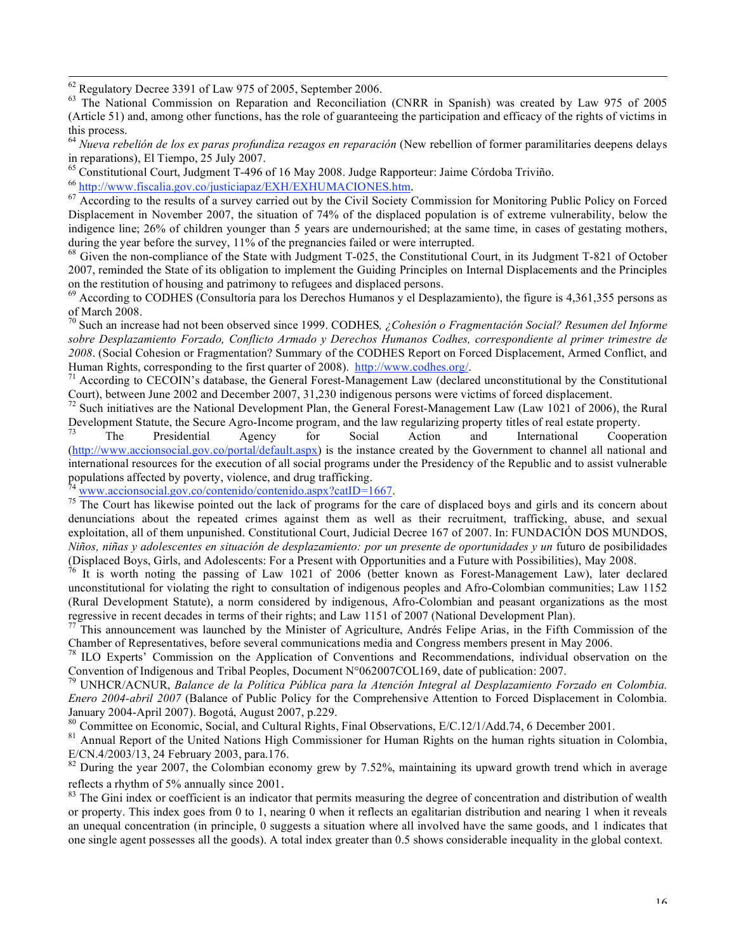<sup>62</sup> Regulatory Decree 3391 of Law 975 of 2005, September 2006.<br><sup>63</sup> The National Commission on Reparation and Reconciliation (CNRR in Spanish) was created by Law 975 of 2005 (Article 51) and, among other functions, has the role of guaranteeing the participation and efficacy of the rights of victims in

this process. <sup>64</sup> *Nueva rebelión de los ex paras profundiza rezagos en reparación* (New rebellion of former paramilitaries deepens delays

<sup>65</sup> Constitutional Court, Judgment T-496 of 16 May 2008. Judge Rapporteur: Jaime Córdoba Triviño.<br><sup>66</sup> http://www.fiscalia.gov.co/justiciapaz/EXH/EXHUMACIONES.htm.

67 According to the results of a survey carried out by the Civil Society Commission for Monitoring Public Policy on Forced Displacement in November 2007, the situation of 74% of the displaced population is of extreme vulnerability, below the indigence line; 26% of children younger than 5 years are undernourished; at the same time, in cases of gestating mothers, during the year before the survey, 11% of the pregnancies failed or were interrupted.<br><sup>68</sup> Given the non-compliance of the State with Judgment T-025, the Constitutional Court, in its Judgment T-821 of October

2007, reminded the State of its obligation to implement the Guiding Principles on Internal Displacements and the Principles

 $^{69}$  According to CODHES (Consultoría para los Derechos Humanos y el Desplazamiento), the figure is 4,361,355 persons as of March 2008. <sup>70</sup> Such an increase had not been observed since 1999. CODHES*, ¿Cohesión <sup>o</sup> Fragmentación Social? Resumen del Informe*

*sobre Desplazamiento Forzado, Conflicto Armado y Derechos Humanos Codhes, correspondiente al primer trimestre de 2008*. (Social Cohesion or Fragmentation? Summary of the CODHES Report on Forced Displacement, Armed Conflict, and

Human Rights, corresponding to the first quarter of 2008).  $\frac{http://www.codhes.org/}{http://www.codhes.org/}$ <br><sup>71</sup> According to CECOIN's database, the General Forest-Management Law (declared unconstitutional by the Constitutional Court), between Ju

 $^{72}$  Such initiatives are the National Development Plan, the General Forest-Management Law (Law 1021 of 2006), the Rural Development Statute, the Secure Agro-Income program, and the law regularizing property titles of real estate property. <sup>73</sup> The Presidential Agency for Social Action and International Cooperation

(http://www.accionsocial.gov.co/portal/default.aspx) is the instance created by the Government to channel all national and international resources for the execution of all social programs under the Presidency of the Republic and to assist vulnerable populations affected by poverty, violence, and drug trafficking.

<sup>74</sup> www.accionsocial.gov.co/contenido/contenido.aspx?catID=1667.<br><sup>75</sup> The Court has likewise pointed out the lack of programs for the care of displaced boys and girls and its concern about denunciations about the repeated crimes against them as well as their recruitment, trafficking, abuse, and sexual exploitation, all of them unpunished. Constitutional Court, Judicial Decree 167 of 2007. In: FUNDACIÓN DOS MUNDOS, Niños, niñas y adolescentes en situación de desplazamiento: por un presente de oportunidades y un futuro de posibilidades (Displaced Boys, Girls, and Adolescents: For a Present with Opportunities and a Future with Possibilities), May 2008.<br><sup>76</sup> It is worth noting the passing of Law 1021 of 2006 (better known as Forest-Management Law), later d

unconstitutional for violating the right to consultation of indigenous peoples and Afro-Colombian communities; Law 1152 (Rural Development Statute), a norm considered by indigenous, Afro-Colombian and peasant organizations as the most regressive in recent decades in terms of their rights; and Law 1151 of 2007 (National Development Plan).

<sup>77</sup> This announcement was launched by the Minister of Agriculture, Andrés Felipe Arias, in the Fifth Commission of the Chamber of Representatives, before several communications media and Congress members present in May 2

 $\frac{78}{2}$  ILO Experts<sup>2</sup> Commission on the Application of Conventions and Recommendations, individual observation on the Convention of Indigenous and Tribal Peoples, Document N°062007COL169, date of publication: 2007.<br><sup>79</sup> UNHCR/ACNUR, *Balance de la Política Pública para la Atención Integral al Desplazamiento Forzado en Colombia.* 

*Enero 2004-abril 2007* (Balance of Public Policy for the Comprehensive Attention to Forced Displacement in Colombia. January 2004-April 2007). Bogotá, August 2007, p.229.<br><sup>80</sup> Committee on Economic, Social, and Cultural Rights, Final Observations, E/C.12/1/Add.74, 6 December 2001.<br><sup>81</sup> Annual Report of the United Nations High Commissione

E/CN.4/2003/13, 24 February 2003, para.176.<br><sup>82</sup> During the year 2007, the Colombian economy grew by 7.52%, maintaining its upward growth trend which in average

reflects a rhythm of 5% annually since 2001.<br><sup>83</sup> The Gini index or coefficient is an indicator that permits measuring the degree of concentration and distribution of wealth

or property. This index goes from 0 to 1, nearing 0 when it reflects an egalitarian distribution and nearing 1 when it reveals an unequal concentration (in principle, 0 suggests a situation where all involved have the same goods, and 1 indicates that one single agent possesses all the goods). A total index greater than 0.5 shows considerable inequality in the global context.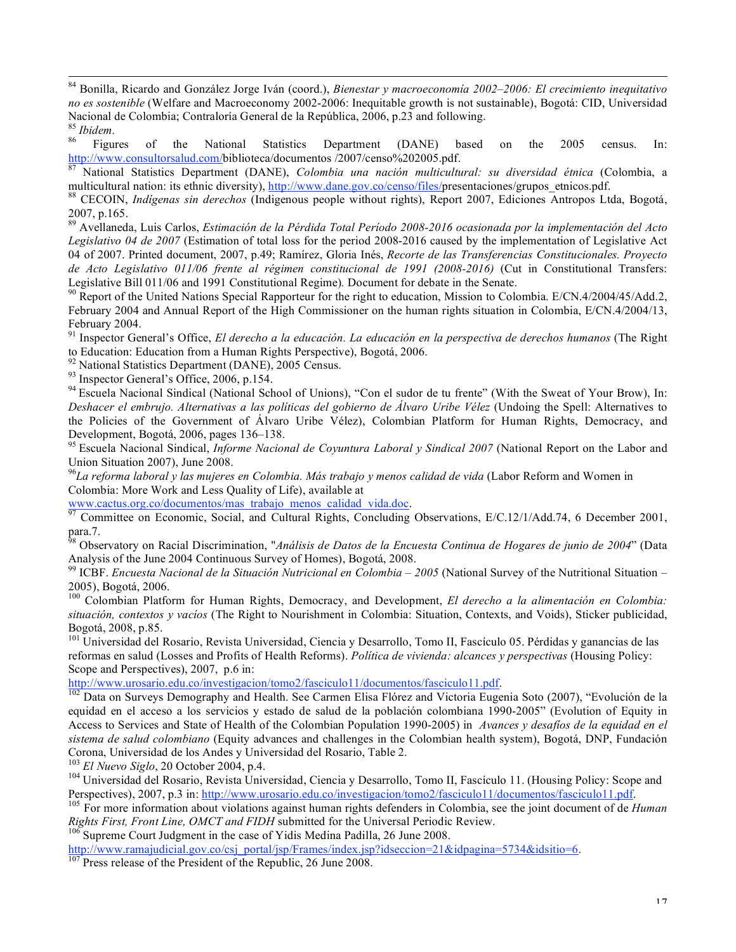84 Bonilla, Ricardo and González Jorge Iván (coord.), *Bienestar <sup>y</sup> macroeconomía 2002–2006: El crecimiento inequitativo no es sostenible* (Welfare and Macroeconomy 2002-2006: Inequitable growth is not sustainable), Bogotá: CID, Universidad

Nacional de Colombia; Contraloría General de la República, 2006, p.23 and following.<br><sup>86</sup> *Figures* of the National Statistics Department (DANE) based on the 2005 census. In:<br>http://www.consultorsalud.com/biblioteca/docume

National Statistics Department (DANE), Colombia una nación multicultural: su diversidad étnica (Colombia, a multicultural nation: its ethnic diversity), http://www.dane.gov.co/censo/files/presentaciones/grupos\_etnicos.pdf.<br><sup>88</sup> CECOIN, *Indígenas sin derechos* (Indigenous people without rights), Report 2007, Ediciones Antropos L

2007, p.165. <sup>89</sup> Avellaneda, Luis Carlos, *Estimación de la Pérdida Total Período 2008-2016 ocasionada por la implementación del Acto*

*Legislativo 04 de 2007* (Estimation of total loss for the period 2008-2016 caused by the implementation of Legislative Act 04 of 2007. Printed document, 2007, p.49; Ramírez, Gloria Inés, *Recorte de las Transferencias Constitucionales. Proyecto de Acto Legislativo 011/06 frente al régimen constitucional de 1991 (2008-2016)* (Cut in Constitutional Transfers: Legislative Bill 011/06 and 1991 Constitutional Regime). Document for debate in the Senate.<br><sup>90</sup> Report of the United Nations Special Rapporteur for the right to education, Mission to Colombia. E/CN.4/2004/45/Add.2,

February 2004 and Annual Report of the High Commissioner on the human rights situation in Colombia, E/CN.4/2004/13,

February 2004.<br><sup>91</sup> Inspector General's Office, *El derecho a la educación. La educación en la perspectiva de derechos humanos (The Right to Education: Education from a Human Rights Perspective), Bogotá, 2006.* 

<sup>92</sup> National Statistics Department (DANE), 2005 Census.<br><sup>93</sup> Inspector General's Office, 2006, p.154.<br><sup>94</sup> Escuela Nacional Sindical (National School of Unions), "Con el sudor de tu frente" (With the Sweat of Your Brow), *Deshacer el embrujo. Alternativas a las políticas del gobierno de Álvaro Uribe Vélez* (Undoing the Spell: Alternatives to the Policies of the Government of Álvaro Uribe Vélez), Colombian Platform for Human Rights, Democracy, and Development, Bogotá, 2006, pages 136–138.<br><sup>95</sup> Escuela Nacional Sindical, *Informe Nacional de Coyuntura Laboral y Sindical 2007* (National Report on the Labor and

Union Situation 2007), June 2008.

*La reforma laboral y las mujeres en Colombia. Más trabajo y menos calidad de vida* (Labor Reform and Women in Colombia: More Work and Less Quality of Life), available at

www.cactus.org.co/documentos/mas\_trabajo\_menos\_calidad\_vida.doc.<br><sup>97</sup> Committee on Economic, Social, and Cultural Rights, Concluding Observations, E/C.12/1/Add.74, 6 December 2001,

para.7. <sup>98</sup> Observatory on Racial Discrimination, "*Análisis de Datos de la Encuesta Continua de Hogares de junio de <sup>2004</sup>*" (Data

Analysis of the June 2004 Continuous Survey of Homes), Bogotá, 2008.<br><sup>99</sup> ICBF. *Encuesta Nacional de la Situación Nutricional en Colombia – 2005* (National Survey of the Nutritional Situation –<br>2005), Bogotá, 2006.

2005), Bogotá, 2006. <sup>100</sup> Colombian Platform for Human Rights, Democracy, and Development, *El derecho <sup>a</sup> la alimentación en Colombia: situación, contextos y vacíos* (The Right to Nourishment in Colombia: Situation, Contexts, and Voids), Sticker publicidad, Bogotá, 2008, p.85.<br><sup>101</sup> Universidad del Rosario, Revista Universidad, Ciencia y Desarrollo, Tomo II, Fascículo 05. Pérdidas y ganancias de las

reformas en salud (Losses and Profits of Health Reforms). *Política de vivienda: alcances y perspectivas* (Housing Policy: Scope and Perspectives), 2007, p.6 in:<br>http://www.urosario.edu.co/investigacion/tomo2/fasciculo11/documentos/fasciculo11.pdf.

 $\frac{102}{102}$  Data on Surveys Demography and Health. See Carmen Elisa Flórez and Victoria Eugenia Soto (2007), "Evolución de la equidad en el acceso a los servicios y estado de salud de la población colombiana 1990-2005" (Evolution of Equity in Access to Services and State of Health of the Colombian Population 1990-2005) in *Avances y desafíos de la equidad en el sistema de salud colombiano* (Equity advances and challenges in the Colombian health system), Bogotá, DNP, Fundación Corona, Universidad de los Andes y Universidad del Rosario, Table 2.<br>
<sup>103</sup> El Nuevo Siglo, 20 October 2004, p.4.<br>
<sup>104</sup> Universidad del Rosario, Revista Universidad, Ciencia y Desarrollo, Tomo II, Fascículo 11. (Housing P

Perspectives), 2007, p.3 in: http://www.urosario.edu.co/investigacion/tomo2/fasciculo11/documentos/fasciculo11.pdf.<br><sup>105</sup> For more information about violations against human rights defenders in Colombia, see the joint docu

<sup>106</sup> Supreme Court Judgment in the case of Yidis Medina Padilla, 26 June 2008.

http://www.ramajudicial.gov.co/csj\_portal/jsp/Frames/index.jsp?idseccion=21&idpagina=5734&idsitio=6. 107 Press release of the President of the Republic, 26 June 2008.